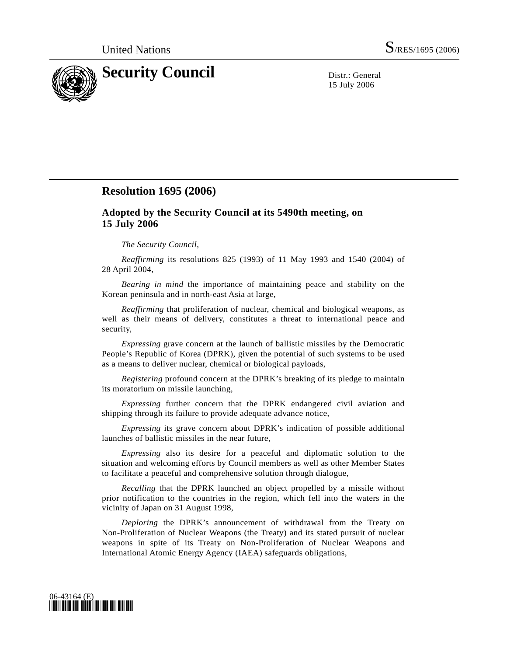

15 July 2006

## **Resolution 1695 (2006)**

## **Adopted by the Security Council at its 5490th meeting, on 15 July 2006**

## *The Security Council*,

*Reaffirming* its resolutions 825 (1993) of 11 May 1993 and 1540 (2004) of 28 April 2004,

*Bearing in mind* the importance of maintaining peace and stability on the Korean peninsula and in north-east Asia at large,

*Reaffirming* that proliferation of nuclear, chemical and biological weapons, as well as their means of delivery, constitutes a threat to international peace and security,

*Expressing* grave concern at the launch of ballistic missiles by the Democratic People's Republic of Korea (DPRK), given the potential of such systems to be used as a means to deliver nuclear, chemical or biological payloads,

*Registering* profound concern at the DPRK's breaking of its pledge to maintain its moratorium on missile launching,

*Expressing* further concern that the DPRK endangered civil aviation and shipping through its failure to provide adequate advance notice,

*Expressing* its grave concern about DPRK's indication of possible additional launches of ballistic missiles in the near future,

*Expressing* also its desire for a peaceful and diplomatic solution to the situation and welcoming efforts by Council members as well as other Member States to facilitate a peaceful and comprehensive solution through dialogue,

*Recalling* that the DPRK launched an object propelled by a missile without prior notification to the countries in the region, which fell into the waters in the vicinity of Japan on 31 August 1998,

 *Deploring* the DPRK's announcement of withdrawal from the Treaty on Non-Proliferation of Nuclear Weapons (the Treaty) and its stated pursuit of nuclear weapons in spite of its Treaty on Non-Proliferation of Nuclear Weapons and International Atomic Energy Agency (IAEA) safeguards obligations,